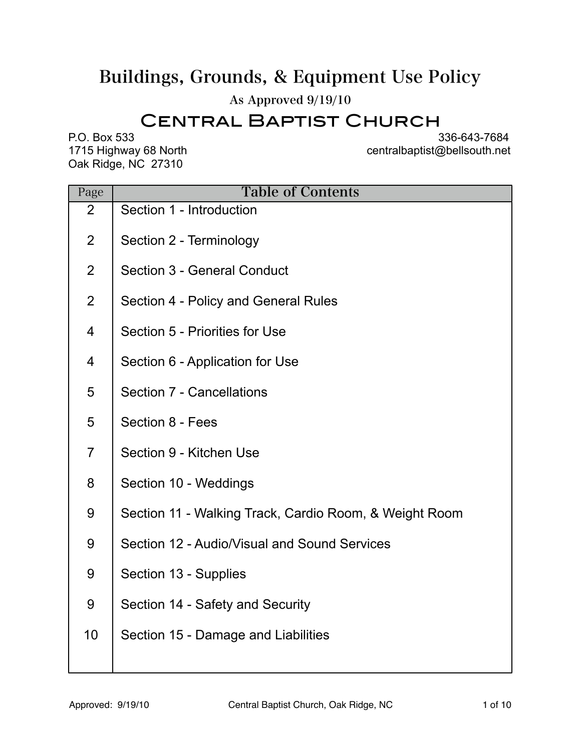# Buildings, Grounds, & Equipment Use Policy

As Approved 9/19/10

## Central Baptist Church

Oak Ridge, NC 27310

P.O. Box 533<br>1715 Highway 68 North **1715 Highway 68 North** 1715 Highway 68 North 18 centralbaptist@bellsouth.net

| Page           | <b>Table of Contents</b>                               |  |  |
|----------------|--------------------------------------------------------|--|--|
| 2              | Section 1 - Introduction                               |  |  |
| $\overline{2}$ | Section 2 - Terminology                                |  |  |
| $\overline{2}$ | Section 3 - General Conduct                            |  |  |
| $\overline{2}$ | Section 4 - Policy and General Rules                   |  |  |
| $\overline{4}$ | Section 5 - Priorities for Use                         |  |  |
| 4              | Section 6 - Application for Use                        |  |  |
| 5              | Section 7 - Cancellations                              |  |  |
| 5              | Section 8 - Fees                                       |  |  |
| $\overline{7}$ | Section 9 - Kitchen Use                                |  |  |
| 8              | Section 10 - Weddings                                  |  |  |
| 9              | Section 11 - Walking Track, Cardio Room, & Weight Room |  |  |
| 9              | Section 12 - Audio/Visual and Sound Services           |  |  |
| 9              | Section 13 - Supplies                                  |  |  |
| 9              | Section 14 - Safety and Security                       |  |  |
| 10             | Section 15 - Damage and Liabilities                    |  |  |
|                |                                                        |  |  |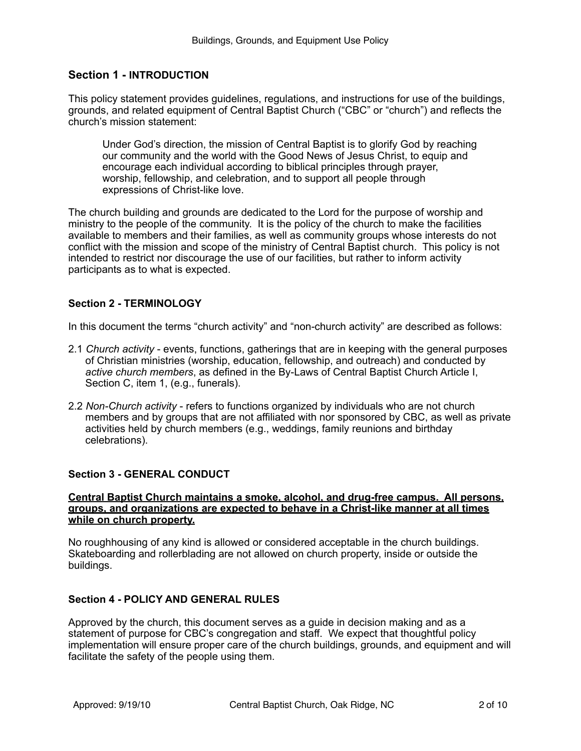## **Section 1 - INTRODUCTION**

This policy statement provides guidelines, regulations, and instructions for use of the buildings, grounds, and related equipment of Central Baptist Church ("CBC" or "church") and reflects the church's mission statement:

Under God's direction, the mission of Central Baptist is to glorify God by reaching our community and the world with the Good News of Jesus Christ, to equip and encourage each individual according to biblical principles through prayer, worship, fellowship, and celebration, and to support all people through expressions of Christ-like love.

The church building and grounds are dedicated to the Lord for the purpose of worship and ministry to the people of the community. It is the policy of the church to make the facilities available to members and their families, as well as community groups whose interests do not conflict with the mission and scope of the ministry of Central Baptist church. This policy is not intended to restrict nor discourage the use of our facilities, but rather to inform activity participants as to what is expected.

#### **Section 2 - TERMINOLOGY**

In this document the terms "church activity" and "non-church activity" are described as follows:

- 2.1 *Church activity*  events, functions, gatherings that are in keeping with the general purposes of Christian ministries (worship, education, fellowship, and outreach) and conducted by *active church members*, as defined in the By-Laws of Central Baptist Church Article I, Section C, item 1, (e.g., funerals).
- 2.2 *Non-Church activity* refers to functions organized by individuals who are not church members and by groups that are not affiliated with nor sponsored by CBC, as well as private activities held by church members (e.g., weddings, family reunions and birthday celebrations).

## **Section 3 - GENERAL CONDUCT**

#### **Central Baptist Church maintains a smoke, alcohol, and drug-free campus. All persons, groups, and organizations are expected to behave in a Christ-like manner at all times while on church property.**

No roughhousing of any kind is allowed or considered acceptable in the church buildings. Skateboarding and rollerblading are not allowed on church property, inside or outside the buildings.

#### **Section 4 - POLICY AND GENERAL RULES**

Approved by the church, this document serves as a guide in decision making and as a statement of purpose for CBC's congregation and staff. We expect that thoughtful policy implementation will ensure proper care of the church buildings, grounds, and equipment and will facilitate the safety of the people using them.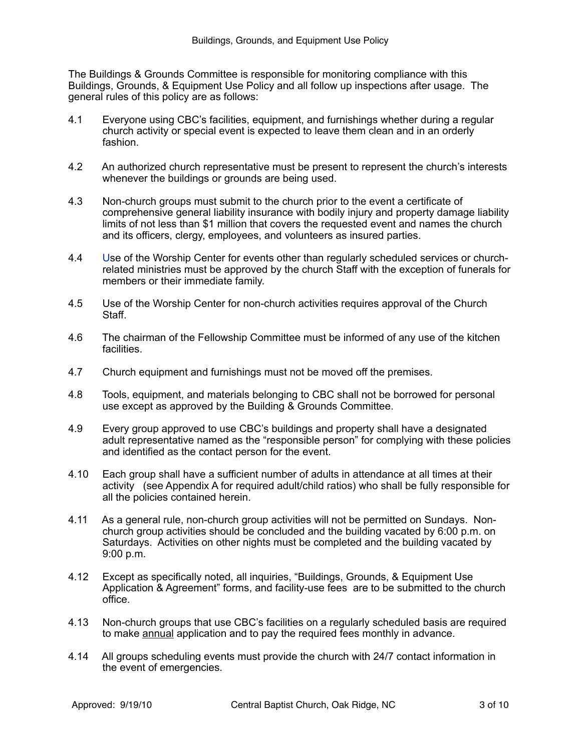The Buildings & Grounds Committee is responsible for monitoring compliance with this Buildings, Grounds, & Equipment Use Policy and all follow up inspections after usage. The general rules of this policy are as follows:

- 4.1 Everyone using CBC's facilities, equipment, and furnishings whether during a regular church activity or special event is expected to leave them clean and in an orderly fashion.
- 4.2 An authorized church representative must be present to represent the church's interests whenever the buildings or grounds are being used.
- 4.3 Non-church groups must submit to the church prior to the event a certificate of comprehensive general liability insurance with bodily injury and property damage liability limits of not less than \$1 million that covers the requested event and names the church and its officers, clergy, employees, and volunteers as insured parties.
- 4.4 Use of the Worship Center for events other than regularly scheduled services or churchrelated ministries must be approved by the church Staff with the exception of funerals for members or their immediate family.
- 4.5 Use of the Worship Center for non-church activities requires approval of the Church Staff.
- 4.6 The chairman of the Fellowship Committee must be informed of any use of the kitchen facilities.
- 4.7 Church equipment and furnishings must not be moved off the premises.
- 4.8 Tools, equipment, and materials belonging to CBC shall not be borrowed for personal use except as approved by the Building & Grounds Committee.
- 4.9 Every group approved to use CBC's buildings and property shall have a designated adult representative named as the "responsible person" for complying with these policies and identified as the contact person for the event.
- 4.10 Each group shall have a sufficient number of adults in attendance at all times at their activity (see Appendix A for required adult/child ratios) who shall be fully responsible for all the policies contained herein.
- 4.11 As a general rule, non-church group activities will not be permitted on Sundays. Nonchurch group activities should be concluded and the building vacated by 6:00 p.m. on Saturdays. Activities on other nights must be completed and the building vacated by 9:00 p.m.
- 4.12 Except as specifically noted, all inquiries, "Buildings, Grounds, & Equipment Use Application & Agreement" forms, and facility-use fees are to be submitted to the church office.
- 4.13 Non-church groups that use CBC's facilities on a regularly scheduled basis are required to make annual application and to pay the required fees monthly in advance.
- 4.14 All groups scheduling events must provide the church with 24/7 contact information in the event of emergencies.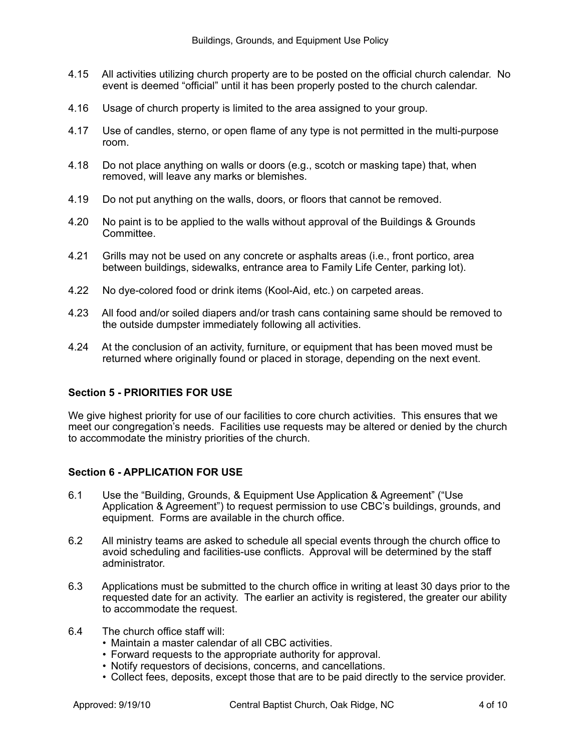- 4.15 All activities utilizing church property are to be posted on the official church calendar. No event is deemed "official" until it has been properly posted to the church calendar.
- 4.16 Usage of church property is limited to the area assigned to your group.
- 4.17 Use of candles, sterno, or open flame of any type is not permitted in the multi-purpose room.
- 4.18 Do not place anything on walls or doors (e.g., scotch or masking tape) that, when removed, will leave any marks or blemishes.
- 4.19 Do not put anything on the walls, doors, or floors that cannot be removed.
- 4.20 No paint is to be applied to the walls without approval of the Buildings & Grounds **Committee.**
- 4.21 Grills may not be used on any concrete or asphalts areas (i.e., front portico, area between buildings, sidewalks, entrance area to Family Life Center, parking lot).
- 4.22 No dye-colored food or drink items (Kool-Aid, etc.) on carpeted areas.
- 4.23 All food and/or soiled diapers and/or trash cans containing same should be removed to the outside dumpster immediately following all activities.
- 4.24 At the conclusion of an activity, furniture, or equipment that has been moved must be returned where originally found or placed in storage, depending on the next event.

## **Section 5 - PRIORITIES FOR USE**

We give highest priority for use of our facilities to core church activities. This ensures that we meet our congregation's needs. Facilities use requests may be altered or denied by the church to accommodate the ministry priorities of the church.

## **Section 6 - APPLICATION FOR USE**

- 6.1 Use the "Building, Grounds, & Equipment Use Application & Agreement" ("Use Application & Agreement") to request permission to use CBC's buildings, grounds, and equipment. Forms are available in the church office.
- 6.2 All ministry teams are asked to schedule all special events through the church office to avoid scheduling and facilities-use conflicts. Approval will be determined by the staff administrator.
- 6.3 Applications must be submitted to the church office in writing at least 30 days prior to the requested date for an activity. The earlier an activity is registered, the greater our ability to accommodate the request.
- 6.4 The church office staff will:
	- Maintain a master calendar of all CBC activities.
	- Forward requests to the appropriate authority for approval.
	- Notify requestors of decisions, concerns, and cancellations.
	- Collect fees, deposits, except those that are to be paid directly to the service provider.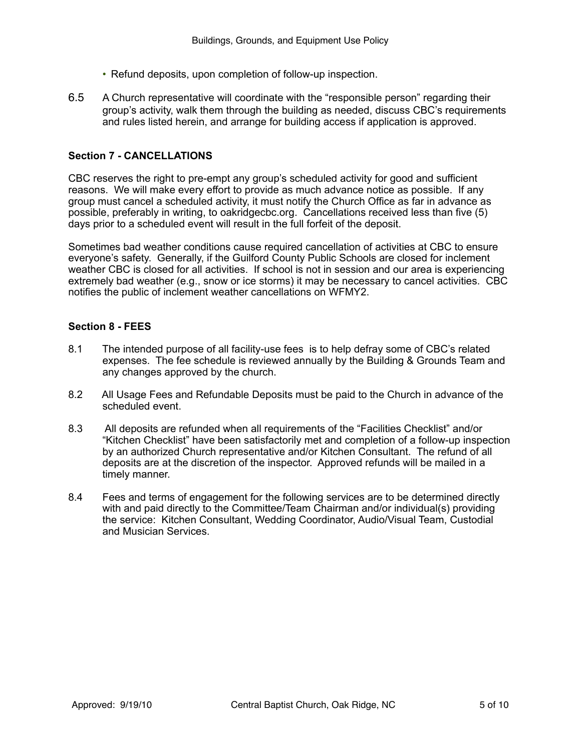- Refund deposits, upon completion of follow-up inspection.
- 6.5 A Church representative will coordinate with the "responsible person" regarding their group's activity, walk them through the building as needed, discuss CBC's requirements and rules listed herein, and arrange for building access if application is approved.

#### **Section 7 - CANCELLATIONS**

CBC reserves the right to pre-empt any group's scheduled activity for good and sufficient reasons. We will make every effort to provide as much advance notice as possible. If any group must cancel a scheduled activity, it must notify the Church Office as far in advance as possible, preferably in writing, to oakridgecbc.org. Cancellations received less than five (5) days prior to a scheduled event will result in the full forfeit of the deposit.

Sometimes bad weather conditions cause required cancellation of activities at CBC to ensure everyone's safety. Generally, if the Guilford County Public Schools are closed for inclement weather CBC is closed for all activities. If school is not in session and our area is experiencing extremely bad weather (e.g., snow or ice storms) it may be necessary to cancel activities. CBC notifies the public of inclement weather cancellations on WFMY2.

#### **Section 8 - FEES**

- 8.1 The intended purpose of all facility-use fees is to help defray some of CBC's related expenses. The fee schedule is reviewed annually by the Building & Grounds Team and any changes approved by the church.
- 8.2 All Usage Fees and Refundable Deposits must be paid to the Church in advance of the scheduled event.
- 8.3 All deposits are refunded when all requirements of the "Facilities Checklist" and/or "Kitchen Checklist" have been satisfactorily met and completion of a follow-up inspection by an authorized Church representative and/or Kitchen Consultant. The refund of all deposits are at the discretion of the inspector. Approved refunds will be mailed in a timely manner.
- 8.4 Fees and terms of engagement for the following services are to be determined directly with and paid directly to the Committee/Team Chairman and/or individual(s) providing the service: Kitchen Consultant, Wedding Coordinator, Audio/Visual Team, Custodial and Musician Services.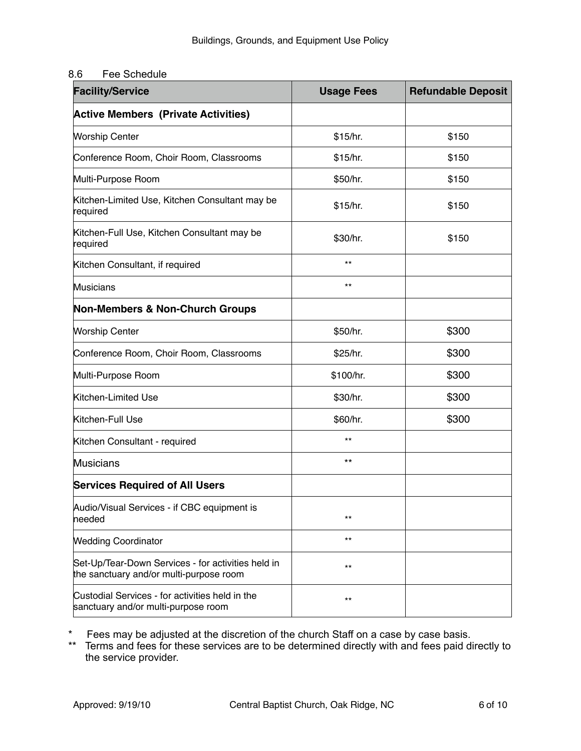## 8.6 Fee Schedule

| <b>Facility/Service</b>                                                                       | <b>Usage Fees</b> | <b>Refundable Deposit</b> |
|-----------------------------------------------------------------------------------------------|-------------------|---------------------------|
| <b>Active Members (Private Activities)</b>                                                    |                   |                           |
| <b>Worship Center</b>                                                                         | \$15/hr.          | \$150                     |
| Conference Room, Choir Room, Classrooms                                                       | \$15/hr.          | \$150                     |
| Multi-Purpose Room                                                                            | \$50/hr.          | \$150                     |
| Kitchen-Limited Use, Kitchen Consultant may be<br>required                                    | \$15/hr.          | \$150                     |
| Kitchen-Full Use, Kitchen Consultant may be<br>required                                       | \$30/hr.          | \$150                     |
| Kitchen Consultant, if required                                                               | $***$             |                           |
| <b>Musicians</b>                                                                              | $***$             |                           |
| <b>Non-Members &amp; Non-Church Groups</b>                                                    |                   |                           |
| <b>Worship Center</b>                                                                         | \$50/hr.          | \$300                     |
| Conference Room, Choir Room, Classrooms                                                       | \$25/hr.          | \$300                     |
| Multi-Purpose Room                                                                            | \$100/hr.         | \$300                     |
| Kitchen-Limited Use                                                                           | \$30/hr.          | \$300                     |
| Kitchen-Full Use                                                                              | \$60/hr.          | \$300                     |
| Kitchen Consultant - required                                                                 | $***$             |                           |
| <b>Musicians</b>                                                                              | $***$             |                           |
| <b>Services Required of All Users</b>                                                         |                   |                           |
| Audio/Visual Services - if CBC equipment is<br>needed                                         | $***$             |                           |
| <b>Wedding Coordinator</b>                                                                    | $***$             |                           |
| Set-Up/Tear-Down Services - for activities held in<br>the sanctuary and/or multi-purpose room | $***$             |                           |
| Custodial Services - for activities held in the<br>sanctuary and/or multi-purpose room        | $***$             |                           |

\* Fees may be adjusted at the discretion of the church Staff on a case by case basis.

\*\* Terms and fees for these services are to be determined directly with and fees paid directly to the service provider.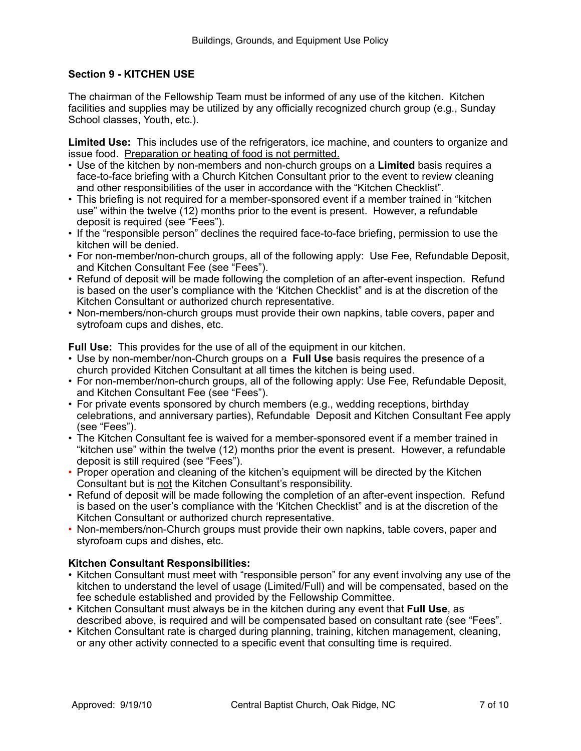## **Section 9 - KITCHEN USE**

The chairman of the Fellowship Team must be informed of any use of the kitchen. Kitchen facilities and supplies may be utilized by any officially recognized church group (e.g., Sunday School classes, Youth, etc.).

**Limited Use:** This includes use of the refrigerators, ice machine, and counters to organize and issue food. Preparation or heating of food is not permitted.

- Use of the kitchen by non-members and non-church groups on a **Limited** basis requires a face-to-face briefing with a Church Kitchen Consultant prior to the event to review cleaning and other responsibilities of the user in accordance with the "Kitchen Checklist".
- This briefing is not required for a member-sponsored event if a member trained in "kitchen use" within the twelve (12) months prior to the event is present. However, a refundable deposit is required (see "Fees").
- If the "responsible person" declines the required face-to-face briefing, permission to use the kitchen will be denied.
- For non-member/non-church groups, all of the following apply: Use Fee, Refundable Deposit, and Kitchen Consultant Fee (see "Fees").
- Refund of deposit will be made following the completion of an after-event inspection. Refund is based on the user's compliance with the 'Kitchen Checklist" and is at the discretion of the Kitchen Consultant or authorized church representative.
- Non-members/non-church groups must provide their own napkins, table covers, paper and sytrofoam cups and dishes, etc.

**Full Use:** This provides for the use of all of the equipment in our kitchen.

- Use by non-member/non-Church groups on a **Full Use** basis requires the presence of a church provided Kitchen Consultant at all times the kitchen is being used.
- For non-member/non-church groups, all of the following apply: Use Fee, Refundable Deposit, and Kitchen Consultant Fee (see "Fees").
- For private events sponsored by church members (e.g., wedding receptions, birthday celebrations, and anniversary parties), Refundable Deposit and Kitchen Consultant Fee apply (see "Fees").
- The Kitchen Consultant fee is waived for a member-sponsored event if a member trained in "kitchen use" within the twelve (12) months prior the event is present. However, a refundable deposit is still required (see "Fees").
- Proper operation and cleaning of the kitchen's equipment will be directed by the Kitchen Consultant but is not the Kitchen Consultant's responsibility.
- Refund of deposit will be made following the completion of an after-event inspection. Refund is based on the user's compliance with the 'Kitchen Checklist" and is at the discretion of the Kitchen Consultant or authorized church representative.
- Non-members/non-Church groups must provide their own napkins, table covers, paper and styrofoam cups and dishes, etc.

## **Kitchen Consultant Responsibilities:**

- Kitchen Consultant must meet with "responsible person" for any event involving any use of the kitchen to understand the level of usage (Limited/Full) and will be compensated, based on the fee schedule established and provided by the Fellowship Committee.
- Kitchen Consultant must always be in the kitchen during any event that **Full Use**, as described above, is required and will be compensated based on consultant rate (see "Fees".
- Kitchen Consultant rate is charged during planning, training, kitchen management, cleaning, or any other activity connected to a specific event that consulting time is required.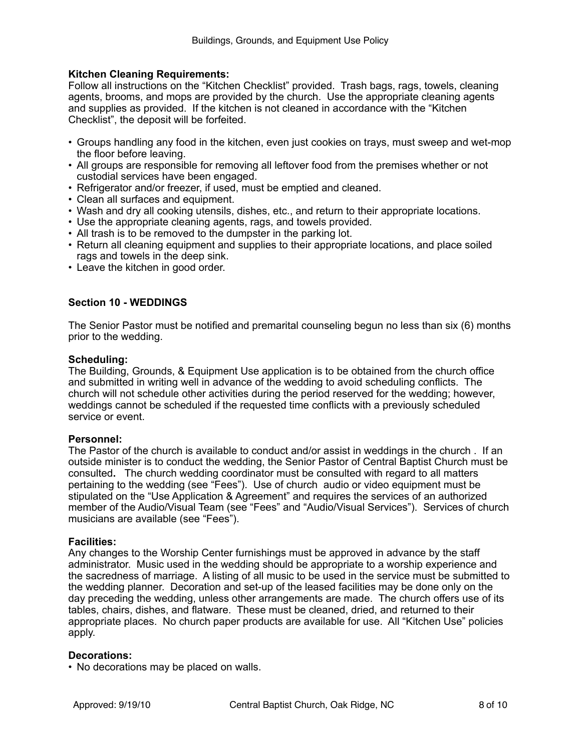#### **Kitchen Cleaning Requirements:**

Follow all instructions on the "Kitchen Checklist" provided. Trash bags, rags, towels, cleaning agents, brooms, and mops are provided by the church. Use the appropriate cleaning agents and supplies as provided. If the kitchen is not cleaned in accordance with the "Kitchen Checklist", the deposit will be forfeited.

- Groups handling any food in the kitchen, even just cookies on trays, must sweep and wet-mop the floor before leaving.
- All groups are responsible for removing all leftover food from the premises whether or not custodial services have been engaged.
- Refrigerator and/or freezer, if used, must be emptied and cleaned.
- Clean all surfaces and equipment.
- Wash and dry all cooking utensils, dishes, etc., and return to their appropriate locations.
- Use the appropriate cleaning agents, rags, and towels provided.
- All trash is to be removed to the dumpster in the parking lot.
- Return all cleaning equipment and supplies to their appropriate locations, and place soiled rags and towels in the deep sink.
- Leave the kitchen in good order.

## **Section 10 - WEDDINGS**

The Senior Pastor must be notified and premarital counseling begun no less than six (6) months prior to the wedding.

#### **Scheduling:**

The Building, Grounds, & Equipment Use application is to be obtained from the church office and submitted in writing well in advance of the wedding to avoid scheduling conflicts. The church will not schedule other activities during the period reserved for the wedding; however, weddings cannot be scheduled if the requested time conflicts with a previously scheduled service or event.

#### **Personnel:**

The Pastor of the church is available to conduct and/or assist in weddings in the church . If an outside minister is to conduct the wedding, the Senior Pastor of Central Baptist Church must be consulted**.** The church wedding coordinator must be consulted with regard to all matters pertaining to the wedding (see "Fees"). Use of church audio or video equipment must be stipulated on the "Use Application & Agreement" and requires the services of an authorized member of the Audio/Visual Team (see "Fees" and "Audio/Visual Services"). Services of church musicians are available (see "Fees").

#### **Facilities:**

Any changes to the Worship Center furnishings must be approved in advance by the staff administrator. Music used in the wedding should be appropriate to a worship experience and the sacredness of marriage. A listing of all music to be used in the service must be submitted to the wedding planner. Decoration and set-up of the leased facilities may be done only on the day preceding the wedding, unless other arrangements are made. The church offers use of its tables, chairs, dishes, and flatware. These must be cleaned, dried, and returned to their appropriate places. No church paper products are available for use. All "Kitchen Use" policies apply.

#### **Decorations:**

• No decorations may be placed on walls.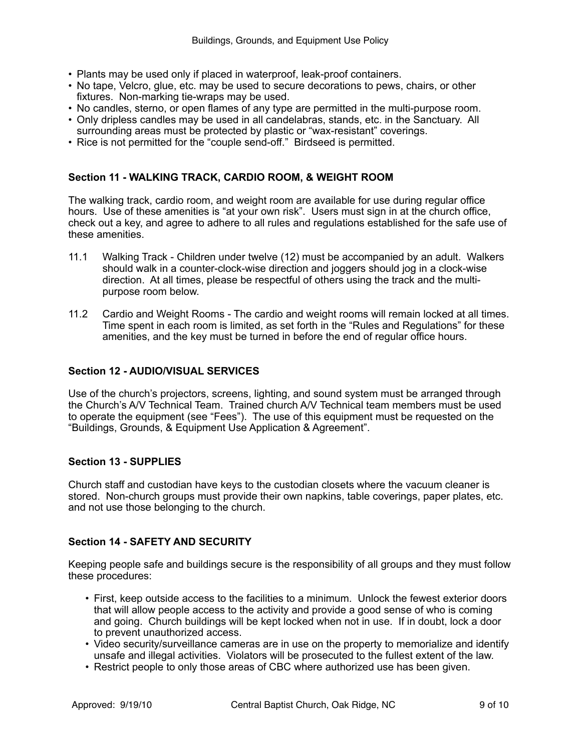- Plants may be used only if placed in waterproof, leak-proof containers.
- No tape, Velcro, glue, etc. may be used to secure decorations to pews, chairs, or other fixtures. Non-marking tie-wraps may be used.
- No candles, sterno, or open flames of any type are permitted in the multi-purpose room.
- Only dripless candles may be used in all candelabras, stands, etc. in the Sanctuary. All surrounding areas must be protected by plastic or "wax-resistant" coverings.
- Rice is not permitted for the "couple send-off." Birdseed is permitted.

#### **Section 11 - WALKING TRACK, CARDIO ROOM, & WEIGHT ROOM**

The walking track, cardio room, and weight room are available for use during regular office hours. Use of these amenities is "at your own risk". Users must sign in at the church office, check out a key, and agree to adhere to all rules and regulations established for the safe use of these amenities.

- 11.1 Walking Track Children under twelve (12) must be accompanied by an adult. Walkers should walk in a counter-clock-wise direction and joggers should jog in a clock-wise direction. At all times, please be respectful of others using the track and the multipurpose room below.
- 11.2 Cardio and Weight Rooms The cardio and weight rooms will remain locked at all times. Time spent in each room is limited, as set forth in the "Rules and Regulations" for these amenities, and the key must be turned in before the end of regular office hours.

#### **Section 12 - AUDIO/VISUAL SERVICES**

Use of the church's projectors, screens, lighting, and sound system must be arranged through the Church's A/V Technical Team. Trained church A/V Technical team members must be used to operate the equipment (see "Fees"). The use of this equipment must be requested on the "Buildings, Grounds, & Equipment Use Application & Agreement".

#### **Section 13 - SUPPLIES**

Church staff and custodian have keys to the custodian closets where the vacuum cleaner is stored. Non-church groups must provide their own napkins, table coverings, paper plates, etc. and not use those belonging to the church.

#### **Section 14 - SAFETY AND SECURITY**

Keeping people safe and buildings secure is the responsibility of all groups and they must follow these procedures:

- First, keep outside access to the facilities to a minimum. Unlock the fewest exterior doors that will allow people access to the activity and provide a good sense of who is coming and going. Church buildings will be kept locked when not in use. If in doubt, lock a door to prevent unauthorized access.
- Video security/surveillance cameras are in use on the property to memorialize and identify unsafe and illegal activities. Violators will be prosecuted to the fullest extent of the law.
- Restrict people to only those areas of CBC where authorized use has been given.